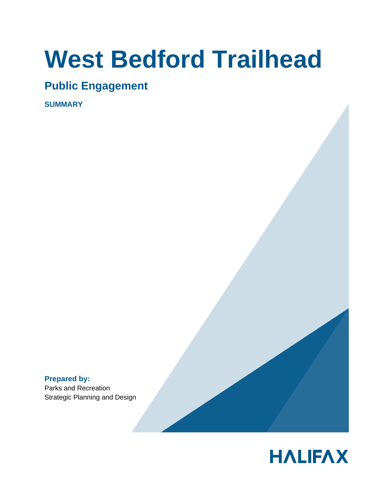# **West Bedford Trailhead**

# **Public Engagement**

**SUMMARY** 

**Prepared by:** Parks and Recreation Strategic Planning and Design

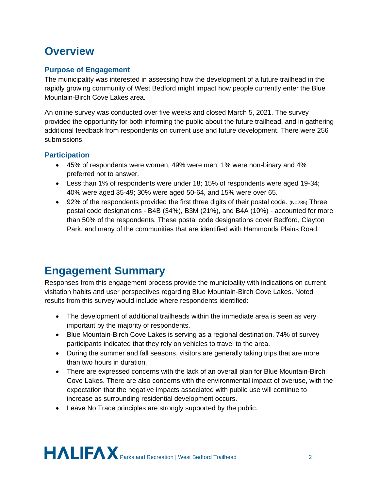# **Overview**

# **Purpose of Engagement**

The municipality was interested in assessing how the development of a future trailhead in the rapidly growing community of West Bedford might impact how people currently enter the Blue Mountain-Birch Cove Lakes area.

An online survey was conducted over five weeks and closed March 5, 2021. The survey provided the opportunity for both informing the public about the future trailhead, and in gathering additional feedback from respondents on current use and future development. There were 256 submissions.

# **Participation**

- 45% of respondents were women; 49% were men; 1% were non-binary and 4% preferred not to answer.
- Less than 1% of respondents were under 18; 15% of respondents were aged 19-34; 40% were aged 35-49; 30% were aged 50-64, and 15% were over 65.
- 92% of the respondents provided the first three digits of their postal code.  $(N=235)$  Three postal code designations - B4B (34%), B3M (21%), and B4A (10%) - accounted for more than 50% of the respondents. These postal code designations cover Bedford, Clayton Park, and many of the communities that are identified with Hammonds Plains Road.

# **Engagement Summary**

Responses from this engagement process provide the municipality with indications on current visitation habits and user perspectives regarding Blue Mountain-Birch Cove Lakes. Noted results from this survey would include where respondents identified:

- The development of additional trailheads within the immediate area is seen as very important by the majority of respondents.
- Blue Mountain-Birch Cove Lakes is serving as a regional destination. 74% of survey participants indicated that they rely on vehicles to travel to the area.
- During the summer and fall seasons, visitors are generally taking trips that are more than two hours in duration.
- There are expressed concerns with the lack of an overall plan for Blue Mountain-Birch Cove Lakes. There are also concerns with the environmental impact of overuse, with the expectation that the negative impacts associated with public use will continue to increase as surrounding residential development occurs.
- Leave No Trace principles are strongly supported by the public.

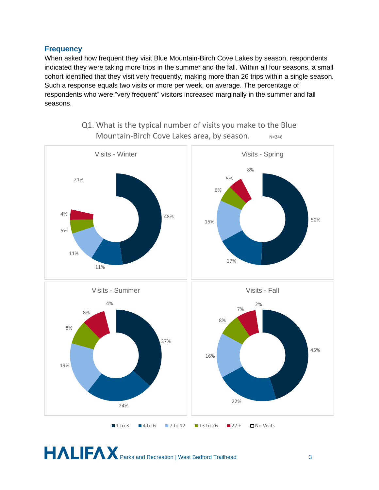#### **Frequency**

When asked how frequent they visit Blue Mountain-Birch Cove Lakes by season, respondents indicated they were taking more trips in the summer and the fall. Within all four seasons, a small cohort identified that they visit very frequently, making more than 26 trips within a single season. Such a response equals two visits or more per week, on average. The percentage of respondents who were "very frequent" visitors increased marginally in the summer and fall seasons.



Q1. What is the typical number of visits you make to the Blue Mountain-Birch Cove Lakes area, by season.  $N=246$ 

**HALIFAX** Parks and Recreation | West Bedford Trailhead 3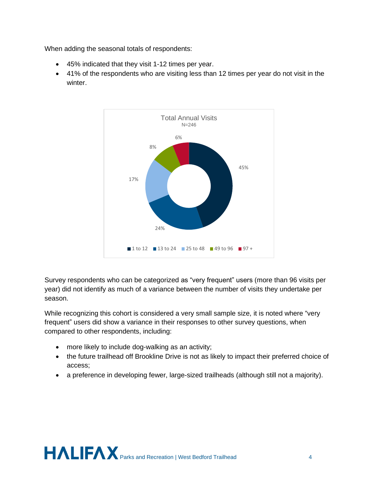When adding the seasonal totals of respondents:

- 45% indicated that they visit 1-12 times per year.
- 41% of the respondents who are visiting less than 12 times per year do not visit in the winter.



Survey respondents who can be categorized as "very frequent" users (more than 96 visits per year) did not identify as much of a variance between the number of visits they undertake per season.

While recognizing this cohort is considered a very small sample size, it is noted where "very frequent" users did show a variance in their responses to other survey questions, when compared to other respondents, including:

- more likely to include dog-walking as an activity;
- the future trailhead off Brookline Drive is not as likely to impact their preferred choice of access;
- a preference in developing fewer, large-sized trailheads (although still not a majority).

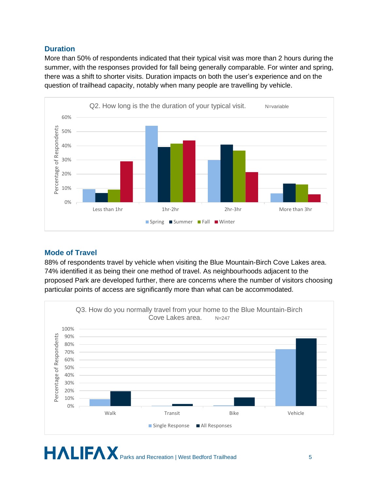## **Duration**

More than 50% of respondents indicated that their typical visit was more than 2 hours during the summer, with the responses provided for fall being generally comparable. For winter and spring, there was a shift to shorter visits. Duration impacts on both the user's experience and on the question of trailhead capacity, notably when many people are travelling by vehicle.



# **Mode of Travel**

88% of respondents travel by vehicle when visiting the Blue Mountain-Birch Cove Lakes area. 74% identified it as being their one method of travel. As neighbourhoods adjacent to the proposed Park are developed further, there are concerns where the number of visitors choosing particular points of access are significantly more than what can be accommodated.

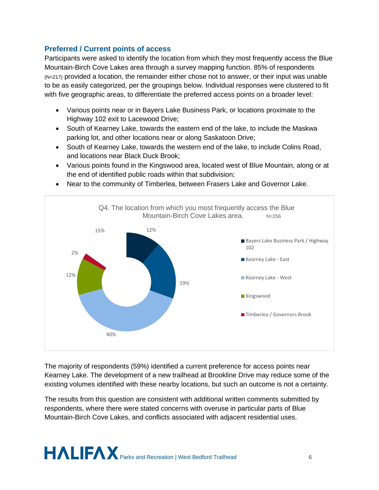## **Preferred / Current points of access**

Participants were asked to identify the location from which they most frequently access the Blue Mountain-Birch Cove Lakes area through a survey mapping function. 85% of respondents (N=217) provided a location, the remainder either chose not to answer, or their input was unable to be as easily categorized, per the groupings below. Individual responses were clustered to fit with five geographic areas, to differentiate the preferred access points on a broader level:

- Various points near or in Bayers Lake Business Park, or locations proximate to the Highway 102 exit to Lacewood Drive;
- South of Kearney Lake, towards the eastern end of the lake, to include the Maskwa parking lot, and other locations near or along Saskatoon Drive;
- South of Kearney Lake, towards the western end of the lake, to include Colins Road, and locations near Black Duck Brook;
- Various points found in the Kingswood area, located west of Blue Mountain, along or at the end of identified public roads within that subdivision;



• Near to the community of Timberlea, between Frasers Lake and Governor Lake.

The majority of respondents (59%) identified a current preference for access points near Kearney Lake. The development of a new trailhead at Brookline Drive may reduce some of the existing volumes identified with these nearby locations, but such an outcome is not a certainty.

The results from this question are consistent with additional written comments submitted by respondents, where there were stated concerns with overuse in particular parts of Blue Mountain-Birch Cove Lakes, and conflicts associated with adjacent residential uses.

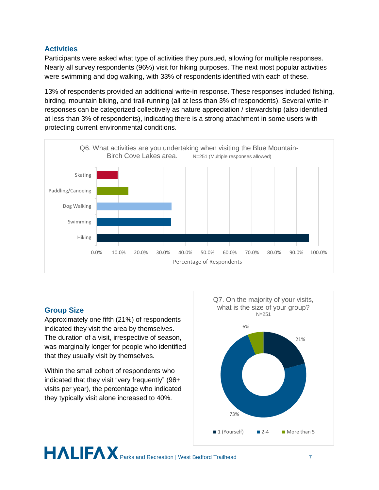# **Activities**

Participants were asked what type of activities they pursued, allowing for multiple responses. Nearly all survey respondents (96%) visit for hiking purposes. The next most popular activities were swimming and dog walking, with 33% of respondents identified with each of these.

13% of respondents provided an additional write-in response. These responses included fishing, birding, mountain biking, and trail-running (all at less than 3% of respondents). Several write-in responses can be categorized collectively as nature appreciation / stewardship (also identified at less than 3% of respondents), indicating there is a strong attachment in some users with protecting current environmental conditions.



### **Group Size**

Approximately one fifth (21%) of respondents indicated they visit the area by themselves. The duration of a visit, irrespective of season, was marginally longer for people who identified that they usually visit by themselves.

Within the small cohort of respondents who indicated that they visit "very frequently" (96+ visits per year), the percentage who indicated they typically visit alone increased to 40%.

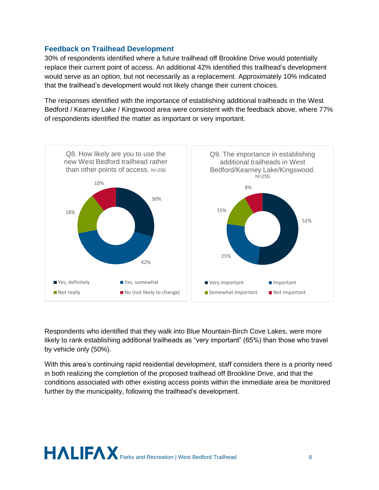## **Feedback on Trailhead Development**

30% of respondents identified where a future trailhead off Brookline Drive would potentially replace their current point of access. An additional 42% identified this trailhead's development would serve as an option, but not necessarily as a replacement. Approximately 10% indicated that the trailhead's development would not likely change their current choices.

The responses identified with the importance of establishing additional trailheads in the West Bedford / Kearney Lake / Kingswood area were consistent with the feedback above, where 77% of respondents identified the matter as important or very important.



Respondents who identified that they walk into Blue Mountain-Birch Cove Lakes, were more likely to rank establishing additional trailheads as "very important" (65%) than those who travel by vehicle only (50%).

With this area's continuing rapid residential development, staff considers there is a priority need in both realizing the completion of the proposed trailhead off Brookline Drive, and that the conditions associated with other existing access points within the immediate area be monitored further by the municipality, following the trailhead's development.

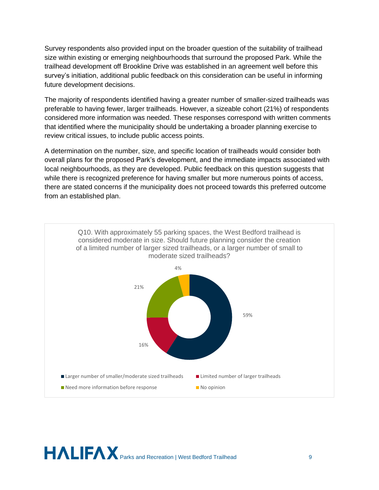Survey respondents also provided input on the broader question of the suitability of trailhead size within existing or emerging neighbourhoods that surround the proposed Park. While the trailhead development off Brookline Drive was established in an agreement well before this survey's initiation, additional public feedback on this consideration can be useful in informing future development decisions.

The majority of respondents identified having a greater number of smaller-sized trailheads was preferable to having fewer, larger trailheads. However, a sizeable cohort (21%) of respondents considered more information was needed. These responses correspond with written comments that identified where the municipality should be undertaking a broader planning exercise to review critical issues, to include public access points.

A determination on the number, size, and specific location of trailheads would consider both overall plans for the proposed Park's development, and the immediate impacts associated with local neighbourhoods, as they are developed. Public feedback on this question suggests that while there is recognized preference for having smaller but more numerous points of access, there are stated concerns if the municipality does not proceed towards this preferred outcome from an established plan.



**PALIFAX** Parks and Recreation | West Bedford Trailhead 9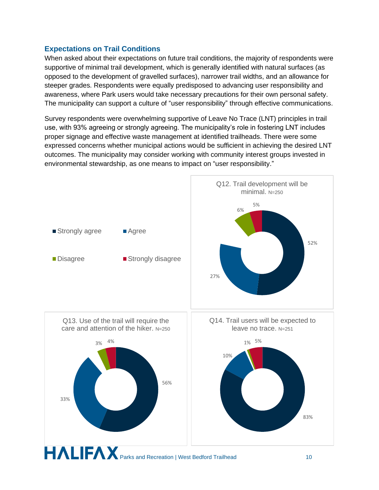## **Expectations on Trail Conditions**

When asked about their expectations on future trail conditions, the majority of respondents were supportive of minimal trail development, which is generally identified with natural surfaces (as opposed to the development of gravelled surfaces), narrower trail widths, and an allowance for steeper grades. Respondents were equally predisposed to advancing user responsibility and awareness, where Park users would take necessary precautions for their own personal safety. The municipality can support a culture of "user responsibility" through effective communications.

Survey respondents were overwhelming supportive of Leave No Trace (LNT) principles in trail use, with 93% agreeing or strongly agreeing. The municipality's role in fostering LNT includes proper signage and effective waste management at identified trailheads. There were some expressed concerns whether municipal actions would be sufficient in achieving the desired LNT outcomes. The municipality may consider working with community interest groups invested in environmental stewardship, as one means to impact on "user responsibility."

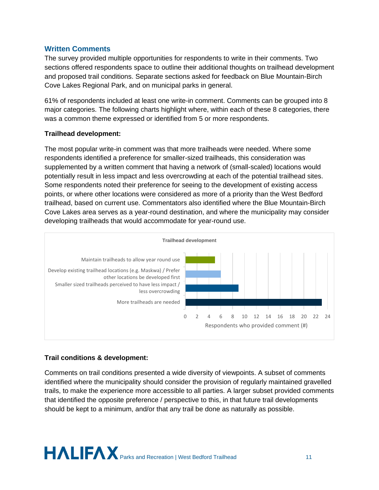#### **Written Comments**

The survey provided multiple opportunities for respondents to write in their comments. Two sections offered respondents space to outline their additional thoughts on trailhead development and proposed trail conditions. Separate sections asked for feedback on Blue Mountain-Birch Cove Lakes Regional Park, and on municipal parks in general.

61% of respondents included at least one write-in comment. Comments can be grouped into 8 major categories. The following charts highlight where, within each of these 8 categories, there was a common theme expressed or identified from 5 or more respondents.

#### **Trailhead development:**

The most popular write-in comment was that more trailheads were needed. Where some respondents identified a preference for smaller-sized trailheads, this consideration was supplemented by a written comment that having a network of (small-scaled) locations would potentially result in less impact and less overcrowding at each of the potential trailhead sites. Some respondents noted their preference for seeing to the development of existing access points, or where other locations were considered as more of a priority than the West Bedford trailhead, based on current use. Commentators also identified where the Blue Mountain-Birch Cove Lakes area serves as a year-round destination, and where the municipality may consider developing trailheads that would accommodate for year-round use.



#### **Trail conditions & development:**

Comments on trail conditions presented a wide diversity of viewpoints. A subset of comments identified where the municipality should consider the provision of regularly maintained gravelled trails, to make the experience more accessible to all parties. A larger subset provided comments that identified the opposite preference / perspective to this, in that future trail developments should be kept to a minimum, and/or that any trail be done as naturally as possible.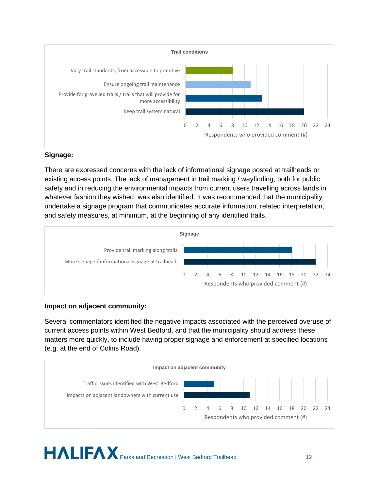

#### **Signage:**

There are expressed concerns with the lack of informational signage posted at trailheads or existing access points. The lack of management in trail marking / wayfinding, both for public safety and in reducing the environmental impacts from current users travelling across lands in whatever fashion they wished, was also identified. It was recommended that the municipality undertake a signage program that communicates accurate information, related interpretation, and safety measures, at minimum, at the beginning of any identified trails.



### **Impact on adjacent community:**

Several commentators identified the negative impacts associated with the perceived overuse of current access points within West Bedford, and that the municipality should address these matters more quickly, to include having proper signage and enforcement at specified locations (e.g. at the end of Colins Road).

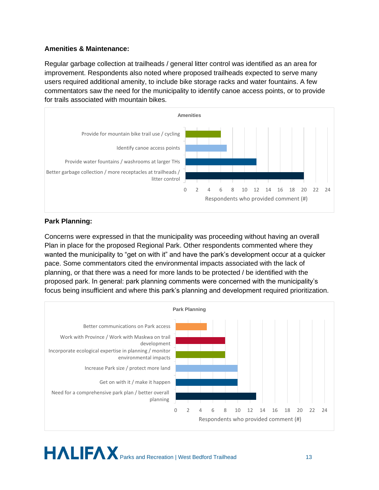#### **Amenities & Maintenance:**

Regular garbage collection at trailheads / general litter control was identified as an area for improvement. Respondents also noted where proposed trailheads expected to serve many users required additional amenity, to include bike storage racks and water fountains. A few commentators saw the need for the municipality to identify canoe access points, or to provide for trails associated with mountain bikes.



#### **Park Planning:**

Concerns were expressed in that the municipality was proceeding without having an overall Plan in place for the proposed Regional Park. Other respondents commented where they wanted the municipality to "get on with it" and have the park's development occur at a quicker pace. Some commentators cited the environmental impacts associated with the lack of planning, or that there was a need for more lands to be protected / be identified with the proposed park. In general: park planning comments were concerned with the municipality's focus being insufficient and where this park's planning and development required prioritization.

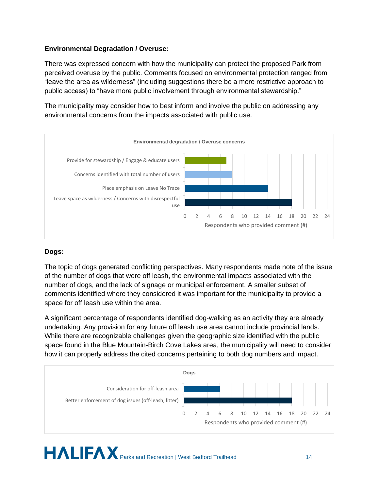## **Environmental Degradation / Overuse:**

There was expressed concern with how the municipality can protect the proposed Park from perceived overuse by the public. Comments focused on environmental protection ranged from "leave the area as wilderness" (including suggestions there be a more restrictive approach to public access) to "have more public involvement through environmental stewardship."

The municipality may consider how to best inform and involve the public on addressing any environmental concerns from the impacts associated with public use.



### **Dogs:**

The topic of dogs generated conflicting perspectives. Many respondents made note of the issue of the number of dogs that were off leash, the environmental impacts associated with the number of dogs, and the lack of signage or municipal enforcement. A smaller subset of comments identified where they considered it was important for the municipality to provide a space for off leash use within the area.

A significant percentage of respondents identified dog-walking as an activity they are already undertaking. Any provision for any future off leash use area cannot include provincial lands. While there are recognizable challenges given the geographic size identified with the public space found in the Blue Mountain-Birch Cove Lakes area, the municipality will need to consider how it can properly address the cited concerns pertaining to both dog numbers and impact.